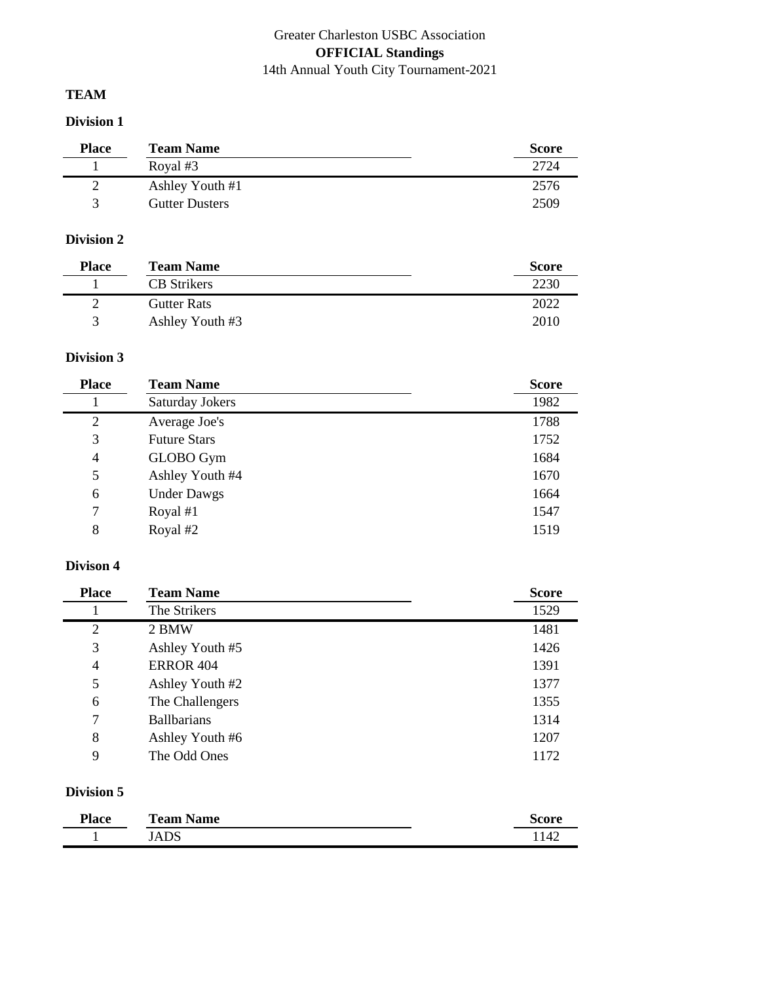## **TEAM**

## **Division 1**

| <b>Place</b> | <b>Team Name</b>      | <b>Score</b> |
|--------------|-----------------------|--------------|
|              | Royal #3              |              |
| റ            | Ashley Youth #1       | 2576         |
| $\mathbf{R}$ | <b>Gutter Dusters</b> | 2509         |

## **Division 2**

| <b>Place</b>  | <b>Team Name</b>   | <b>Score</b> |
|---------------|--------------------|--------------|
|               | <b>CB</b> Strikers | 2230         |
| $\gamma$      | <b>Gutter Rats</b> | 2022         |
| $\mathcal{R}$ | Ashley Youth #3    | 2010         |

## **Division 3**

| <b>Place</b> | <b>Team Name</b>    | <b>Score</b> |
|--------------|---------------------|--------------|
|              | Saturday Jokers     | 1982         |
| 2            | Average Joe's       | 1788         |
| 3            | <b>Future Stars</b> | 1752         |
| 4            | GLOBO Gym           | 1684         |
| 5            | Ashley Youth #4     | 1670         |
| 6            | <b>Under Dawgs</b>  | 1664         |
| 7            | Royal $#1$          | 1547         |
| 8            | Royal #2            | 1519         |

## **Divison 4**

| <b>Place</b>   | <b>Team Name</b>   | <b>Score</b> |
|----------------|--------------------|--------------|
|                | The Strikers       | 1529         |
| $\overline{2}$ | 2 BMW              | 1481         |
| 3              | Ashley Youth #5    | 1426         |
| 4              | <b>ERROR 404</b>   | 1391         |
| 5              | Ashley Youth #2    | 1377         |
| 6              | The Challengers    | 1355         |
| 7              | <b>Ballbarians</b> | 1314         |
| 8              | Ashley Youth #6    | 1207         |
| 9              | The Odd Ones       | 1172         |

| <b>Place</b> | <b>Team Name</b> | score |
|--------------|------------------|-------|
|              | JADS             | 142   |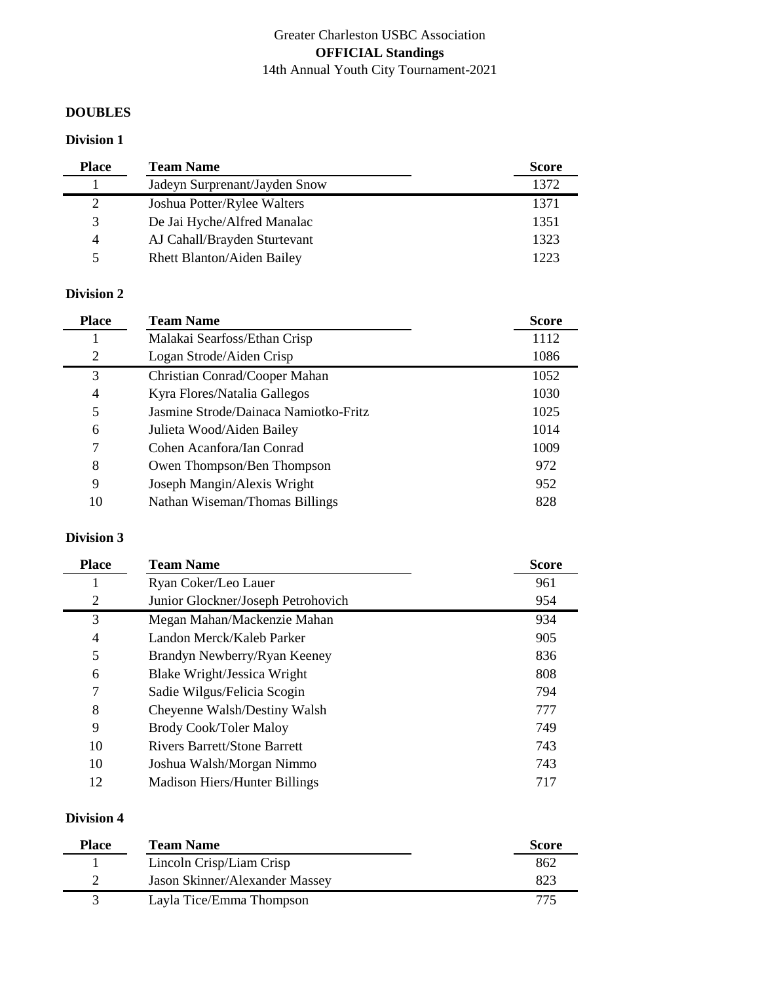# **DOUBLES**

# **Division 1**

| <b>Place</b>   | <b>Team Name</b>                  | <b>Score</b> |
|----------------|-----------------------------------|--------------|
|                | Jadeyn Surprenant/Jayden Snow     | 1372         |
| $\overline{2}$ | Joshua Potter/Rylee Walters       | 1371         |
| 3              | De Jai Hyche/Alfred Manalac       | 1351         |
| 4              | AJ Cahall/Brayden Sturtevant      | 1323         |
| $\sim$         | <b>Rhett Blanton/Aiden Bailey</b> | 1223         |

#### **Division 2**

| <b>Place</b> | <b>Team Name</b>                      | <b>Score</b> |
|--------------|---------------------------------------|--------------|
|              | Malakai Searfoss/Ethan Crisp          | 1112         |
| 2            | Logan Strode/Aiden Crisp              | 1086         |
| 3            | Christian Conrad/Cooper Mahan         | 1052         |
| 4            | Kyra Flores/Natalia Gallegos          | 1030         |
| 5            | Jasmine Strode/Dainaca Namiotko-Fritz | 1025         |
| 6            | Julieta Wood/Aiden Bailey             | 1014         |
| 7            | Cohen Acanfora/Ian Conrad             | 1009         |
| 8            | Owen Thompson/Ben Thompson            | 972          |
| 9            | Joseph Mangin/Alexis Wright           | 952          |
| 10           | Nathan Wiseman/Thomas Billings        | 828          |

# **Division 3**

| <b>Place</b> | <b>Team Name</b>                     | <b>Score</b> |
|--------------|--------------------------------------|--------------|
|              | Ryan Coker/Leo Lauer                 | 961          |
| 2            | Junior Glockner/Joseph Petrohovich   | 954          |
| 3            | Megan Mahan/Mackenzie Mahan          | 934          |
| 4            | Landon Merck/Kaleb Parker            | 905          |
| 5            | Brandyn Newberry/Ryan Keeney         | 836          |
| 6            | Blake Wright/Jessica Wright          | 808          |
| 7            | Sadie Wilgus/Felicia Scogin          | 794          |
| 8            | Cheyenne Walsh/Destiny Walsh         | 777          |
| 9            | <b>Brody Cook/Toler Maloy</b>        | 749          |
| 10           | <b>Rivers Barrett/Stone Barrett</b>  | 743          |
| 10           | Joshua Walsh/Morgan Nimmo            | 743          |
| 12           | <b>Madison Hiers/Hunter Billings</b> | 717          |

| <b>Place</b> | <b>Team Name</b>               | <b>Score</b> |
|--------------|--------------------------------|--------------|
|              | Lincoln Crisp/Liam Crisp       | 862          |
|              | Jason Skinner/Alexander Massey | 823          |
|              | Layla Tice/Emma Thompson       |              |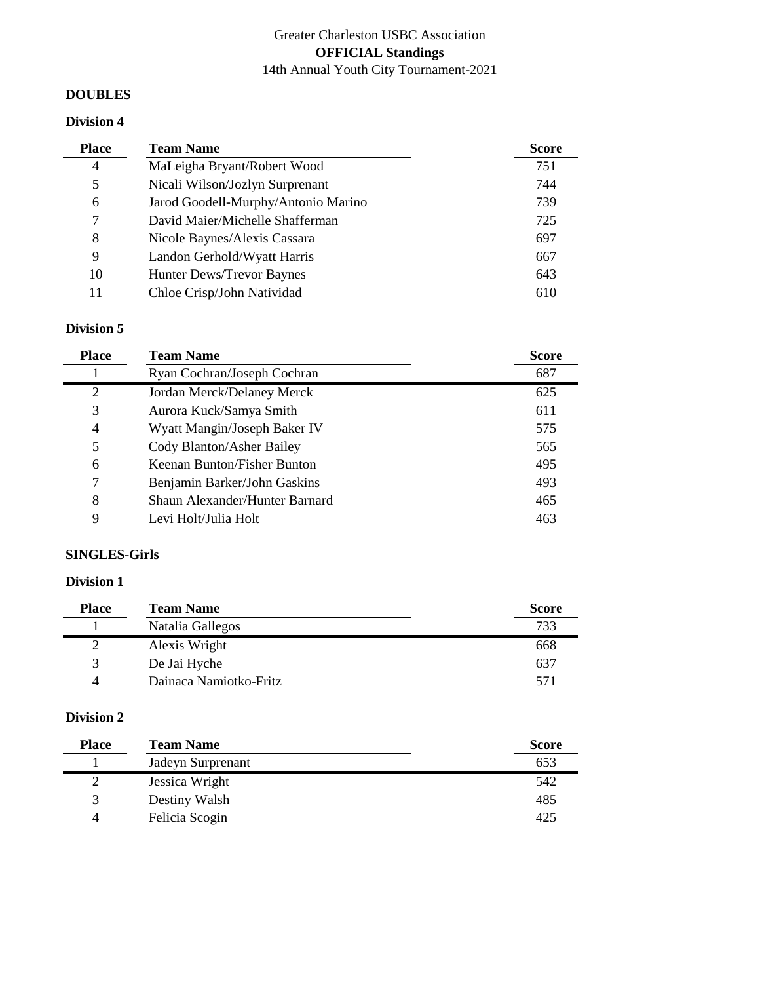#### **DOUBLES**

## **Division 4**

| <b>Place</b> | <b>Team Name</b>                    | <b>Score</b> |
|--------------|-------------------------------------|--------------|
| 4            | MaLeigha Bryant/Robert Wood         | 751          |
| 5            | Nicali Wilson/Jozlyn Surprenant     | 744          |
| 6            | Jarod Goodell-Murphy/Antonio Marino | 739          |
| 7            | David Maier/Michelle Shafferman     | 725          |
| 8            | Nicole Baynes/Alexis Cassara        | 697          |
| 9            | Landon Gerhold/Wyatt Harris         | 667          |
| 10           | Hunter Dews/Trevor Baynes           | 643          |
| 11           | Chloe Crisp/John Natividad          | 610          |

## **Division 5**

| <b>Place</b>   | <b>Team Name</b>               | <b>Score</b> |
|----------------|--------------------------------|--------------|
|                | Ryan Cochran/Joseph Cochran    | 687          |
| $\overline{2}$ | Jordan Merck/Delaney Merck     | 625          |
| 3              | Aurora Kuck/Samya Smith        | 611          |
| 4              | Wyatt Mangin/Joseph Baker IV   | 575          |
| 5              | Cody Blanton/Asher Bailey      | 565          |
| 6              | Keenan Bunton/Fisher Bunton    | 495          |
| 7              | Benjamin Barker/John Gaskins   | 493          |
| 8              | Shaun Alexander/Hunter Barnard | 465          |
| 9              | Levi Holt/Julia Holt           | 463          |

## **SINGLES-Girls**

### **Division 1**

| <b>Place</b>   | <b>Team Name</b>       | <b>Score</b> |
|----------------|------------------------|--------------|
|                | Natalia Gallegos       | 733          |
|                | Alexis Wright          | 668          |
| 3              | De Jai Hyche           | 637          |
| $\overline{4}$ | Dainaca Namiotko-Fritz | 571          |

| <b>Place</b> | <b>Team Name</b>  | <b>Score</b> |
|--------------|-------------------|--------------|
|              | Jadeyn Surprenant | 653          |
| ာ            | Jessica Wright    | 542          |
| 3            | Destiny Walsh     | 485          |
| 4            | Felicia Scogin    | 425          |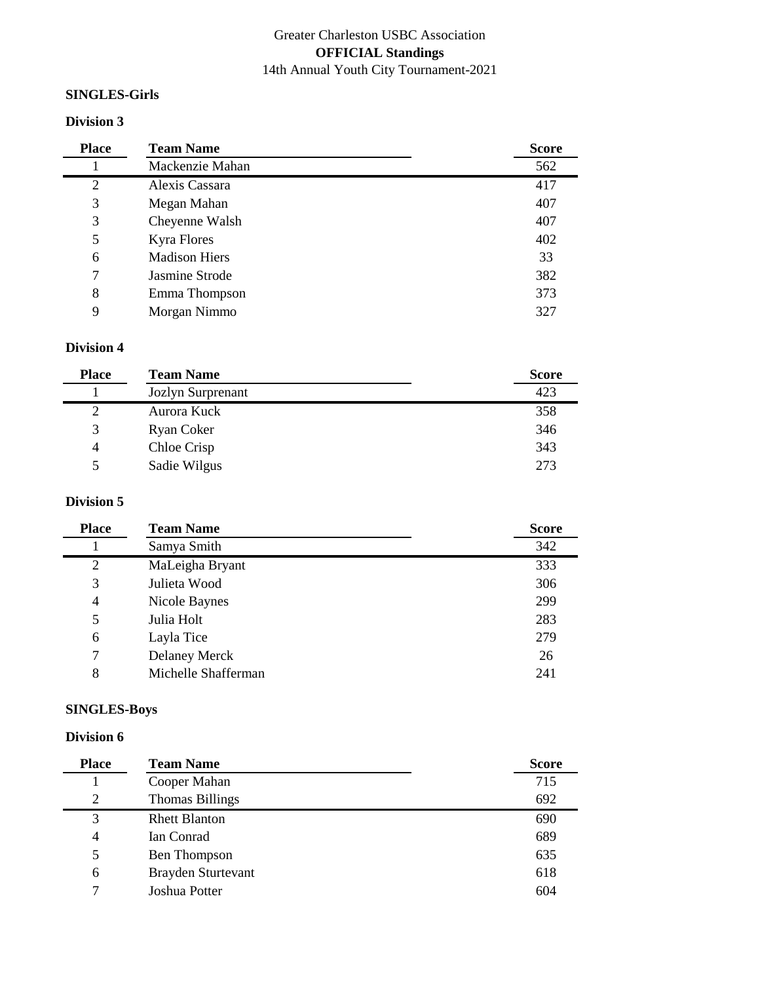#### **SINGLES-Girls**

# **Division 3**

| <b>Place</b>   | <b>Team Name</b>     | <b>Score</b> |
|----------------|----------------------|--------------|
|                | Mackenzie Mahan      | 562          |
| $\overline{2}$ | Alexis Cassara       | 417          |
| 3              | Megan Mahan          | 407          |
| 3              | Cheyenne Walsh       | 407          |
| 5              | Kyra Flores          | 402          |
| 6              | <b>Madison Hiers</b> | 33           |
| 7              | Jasmine Strode       | 382          |
| 8              | Emma Thompson        | 373          |
| 9              | Morgan Nimmo         | 327          |

### **Division 4**

| <b>Place</b>   | <b>Team Name</b>  | <b>Score</b> |
|----------------|-------------------|--------------|
|                | Jozlyn Surprenant | 423          |
| $\overline{2}$ | Aurora Kuck       | 358          |
| 3              | <b>Ryan Coker</b> | 346          |
| 4              | Chloe Crisp       | 343          |
| 5              | Sadie Wilgus      | 273          |

## **Division 5**

| <b>Place</b>   | <b>Team Name</b>    | <b>Score</b> |
|----------------|---------------------|--------------|
|                | Samya Smith         | 342          |
| $\overline{2}$ | MaLeigha Bryant     | 333          |
| 3              | Julieta Wood        | 306          |
| 4              | Nicole Baynes       | 299          |
| 5              | Julia Holt          | 283          |
| 6              | Layla Tice          | 279          |
| $\overline{7}$ | Delaney Merck       | 26           |
| 8              | Michelle Shafferman | 241          |

#### **SINGLES-Boys**

| <b>Place</b> | <b>Team Name</b>          | <b>Score</b> |
|--------------|---------------------------|--------------|
|              | Cooper Mahan              | 715          |
| 2            | <b>Thomas Billings</b>    | 692          |
| 3            | <b>Rhett Blanton</b>      | 690          |
| 4            | Ian Conrad                | 689          |
| 5            | Ben Thompson              | 635          |
| 6            | <b>Brayden Sturtevant</b> | 618          |
| 7            | Joshua Potter             | 604          |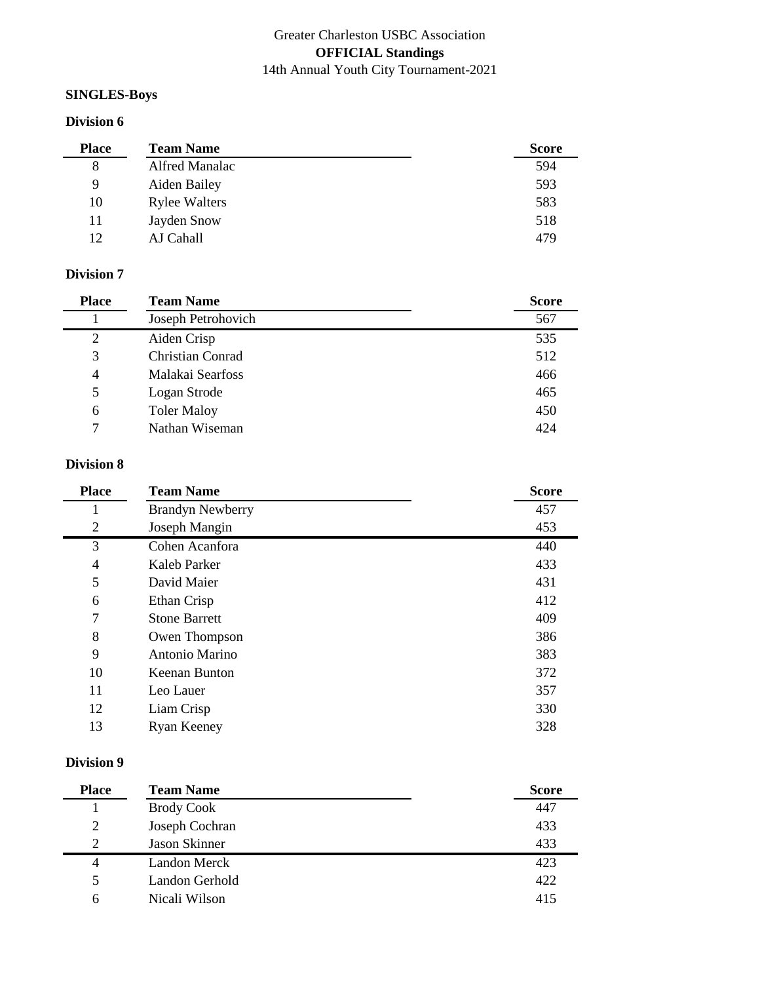### **SINGLES-Boys**

## **Division 6**

| <b>Place</b> | <b>Team Name</b>     | <b>Score</b> |
|--------------|----------------------|--------------|
| 8            | Alfred Manalac       | 594          |
| 9            | Aiden Bailey         | 593          |
| 10           | <b>Rylee Walters</b> | 583          |
| 11           | Jayden Snow          | 518          |
| 12           | AJ Cahall            | 479          |

#### **Division 7**

| <b>Place</b>   | <b>Team Name</b>   | <b>Score</b> |
|----------------|--------------------|--------------|
|                | Joseph Petrohovich | 567          |
| $\overline{2}$ | Aiden Crisp        | 535          |
| 3              | Christian Conrad   | 512          |
| $\overline{4}$ | Malakai Searfoss   | 466          |
| 5              | Logan Strode       | 465          |
| 6              | <b>Toler Maloy</b> | 450          |
| 7              | Nathan Wiseman     | 424          |

#### **Division 8**

| <b>Place</b>   | <b>Team Name</b>        | <b>Score</b> |
|----------------|-------------------------|--------------|
| 1              | <b>Brandyn Newberry</b> | 457          |
| 2              | Joseph Mangin           | 453          |
| 3              | Cohen Acanfora          | 440          |
| $\overline{4}$ | Kaleb Parker            | 433          |
| 5              | David Maier             | 431          |
| 6              | Ethan Crisp             | 412          |
| 7              | <b>Stone Barrett</b>    | 409          |
| 8              | Owen Thompson           | 386          |
| 9              | Antonio Marino          | 383          |
| 10             | Keenan Bunton           | 372          |
| 11             | Leo Lauer               | 357          |
| 12             | Liam Crisp              | 330          |
| 13             | <b>Ryan Keeney</b>      | 328          |

| <b>Place</b>   | <b>Team Name</b>    | <b>Score</b> |
|----------------|---------------------|--------------|
|                | <b>Brody Cook</b>   | 447          |
| 2              | Joseph Cochran      | 433          |
| 2              | Jason Skinner       | 433          |
| $\overline{4}$ | <b>Landon Merck</b> | 423          |
| 5              | Landon Gerhold      | 422          |
| 6              | Nicali Wilson       | 415          |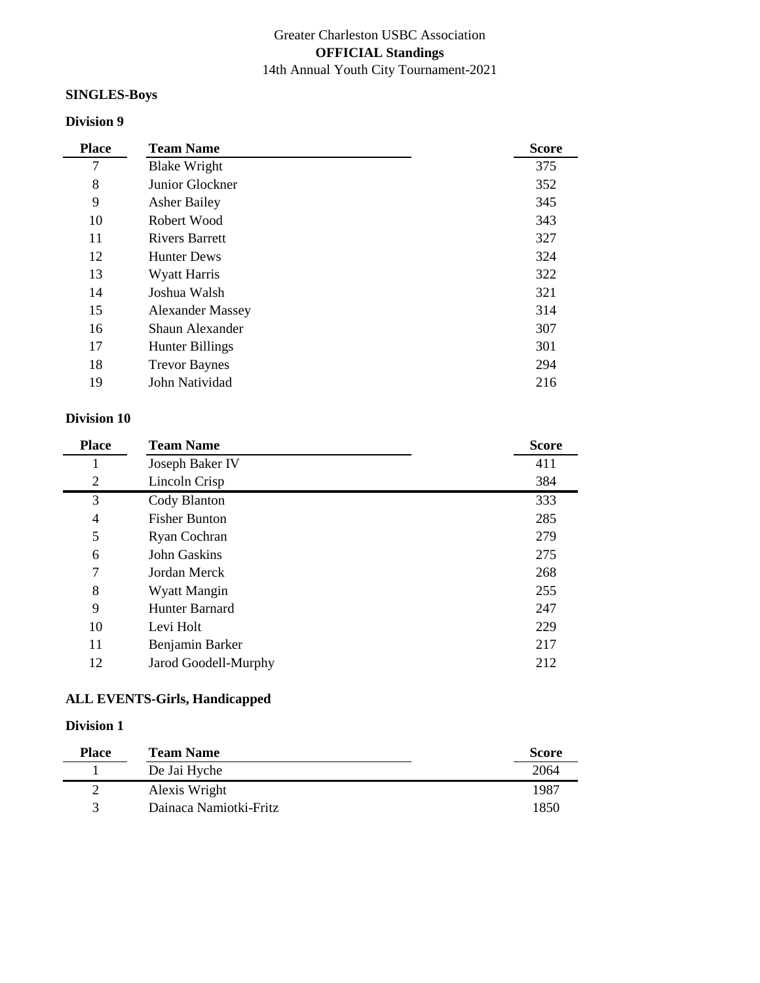#### **SINGLES-Boys**

## **Division 9**

| <b>Place</b> | <b>Team Name</b>        | <b>Score</b> |
|--------------|-------------------------|--------------|
| 7            | <b>Blake Wright</b>     | 375          |
| 8            | Junior Glockner         | 352          |
| 9            | <b>Asher Bailey</b>     | 345          |
| 10           | Robert Wood             | 343          |
| 11           | <b>Rivers Barrett</b>   | 327          |
| 12           | <b>Hunter Dews</b>      | 324          |
| 13           | <b>Wyatt Harris</b>     | 322          |
| 14           | Joshua Walsh            | 321          |
| 15           | <b>Alexander Massey</b> | 314          |
| 16           | Shaun Alexander         | 307          |
| 17           | <b>Hunter Billings</b>  | 301          |
| 18           | <b>Trevor Baynes</b>    | 294          |
| 19           | John Natividad          | 216          |

### **Division 10**

| <b>Place</b>   | <b>Team Name</b>     | <b>Score</b> |
|----------------|----------------------|--------------|
| 1              | Joseph Baker IV      | 411          |
| 2              | Lincoln Crisp        | 384          |
| 3              | Cody Blanton         | 333          |
| $\overline{4}$ | <b>Fisher Bunton</b> | 285          |
| 5              | Ryan Cochran         | 279          |
| 6              | John Gaskins         | 275          |
| 7              | Jordan Merck         | 268          |
| 8              | Wyatt Mangin         | 255          |
| 9              | Hunter Barnard       | 247          |
| 10             | Levi Holt            | 229          |
| 11             | Benjamin Barker      | 217          |
| 12             | Jarod Goodell-Murphy | 212          |

## **ALL EVENTS-Girls, Handicapped**

| <b>Place</b> | <b>Team Name</b>       | <b>Score</b> |
|--------------|------------------------|--------------|
|              | De Jai Hyche           | 2064         |
|              | Alexis Wright          | 1987         |
| $\mathbf{R}$ | Dainaca Namiotki-Fritz | 1850         |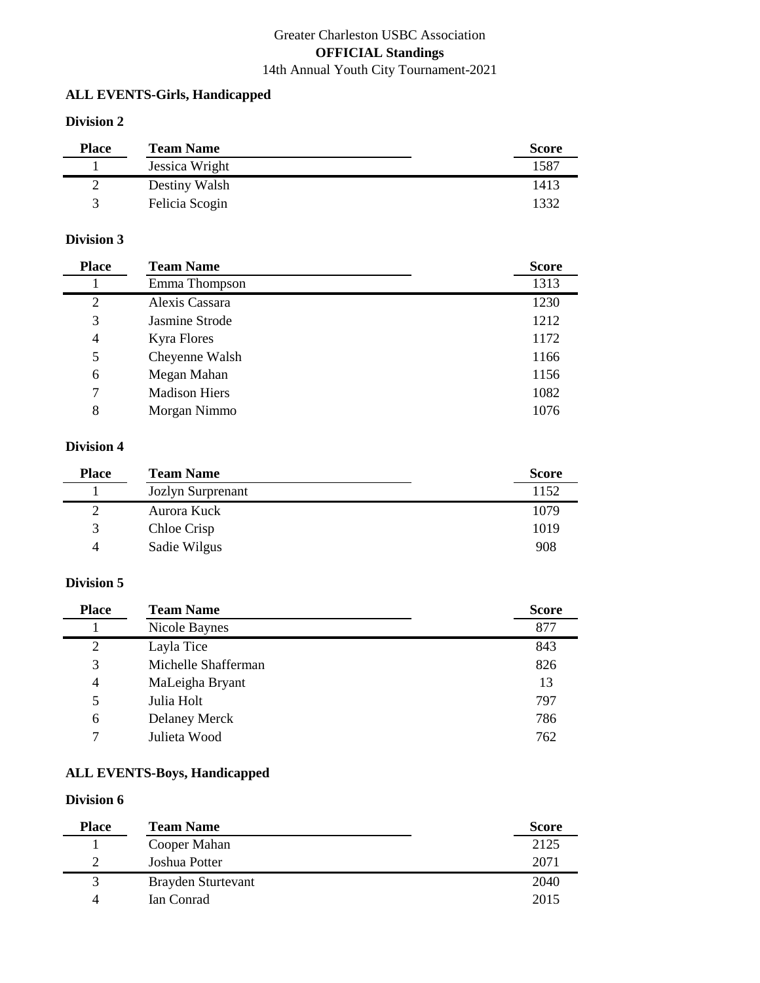### **ALL EVENTS-Girls, Handicapped**

## **Division 2**

| <b>Place</b>  | <b>Team Name</b> | <b>Score</b> |
|---------------|------------------|--------------|
|               | Jessica Wright   | 1587         |
| $\mathcal{D}$ | Destiny Walsh    | 1413         |
| 3             | Felicia Scogin   | 1332         |

#### **Division 3**

| <b>Place</b>   | <b>Team Name</b>     | <b>Score</b> |
|----------------|----------------------|--------------|
|                | Emma Thompson        | 1313         |
| $\overline{2}$ | Alexis Cassara       | 1230         |
| 3              | Jasmine Strode       | 1212         |
| 4              | <b>Kyra Flores</b>   | 1172         |
| 5              | Cheyenne Walsh       | 1166         |
| 6              | Megan Mahan          | 1156         |
| 7              | <b>Madison Hiers</b> | 1082         |
| 8              | Morgan Nimmo         | 1076         |

#### **Division 4**

| <b>Place</b> | <b>Team Name</b>  | <b>Score</b> |
|--------------|-------------------|--------------|
|              | Jozlyn Surprenant | 1152         |
| $\gamma$     | Aurora Kuck       | 1079         |
| 3            | Chloe Crisp       | 1019         |
| 4            | Sadie Wilgus      | 908          |

### **Division 5**

| <b>Place</b>   | <b>Team Name</b>     | <b>Score</b> |
|----------------|----------------------|--------------|
|                | Nicole Baynes        | 877          |
| $\overline{2}$ | Layla Tice           | 843          |
| 3              | Michelle Shafferman  | 826          |
| $\overline{4}$ | MaLeigha Bryant      | 13           |
| 5              | Julia Holt           | 797          |
| 6              | <b>Delaney Merck</b> | 786          |
| 7              | Julieta Wood         | 762          |

## **ALL EVENTS-Boys, Handicapped**

| <b>Place</b>  | <b>Team Name</b>   | <b>Score</b> |
|---------------|--------------------|--------------|
|               | Cooper Mahan       | 2125         |
| $\mathcal{D}$ | Joshua Potter      | 2071         |
| 3             | Brayden Sturtevant | 2040         |
| 4             | Ian Conrad         | 2015         |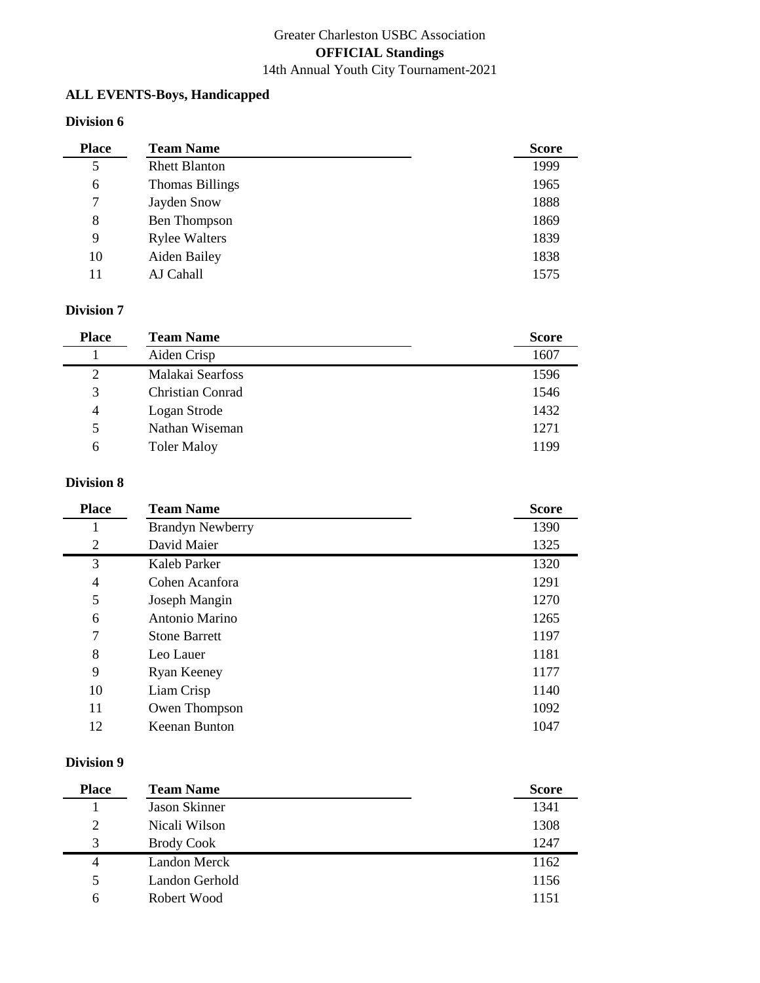### **ALL EVENTS-Boys, Handicapped**

## **Division 6**

| <b>Team Name</b>       | <b>Score</b> |
|------------------------|--------------|
| <b>Rhett Blanton</b>   | 1999         |
| <b>Thomas Billings</b> | 1965         |
| Jayden Snow            | 1888         |
| Ben Thompson           | 1869         |
| <b>Rylee Walters</b>   | 1839         |
| Aiden Bailey           | 1838         |
| AJ Cahall              | 1575         |
|                        |              |

### **Division 7**

| <b>Place</b>   | <b>Team Name</b>   | <b>Score</b> |
|----------------|--------------------|--------------|
|                | Aiden Crisp        | 1607         |
| $\overline{2}$ | Malakai Searfoss   | 1596         |
| 3              | Christian Conrad   | 1546         |
| 4              | Logan Strode       | 1432         |
| 5              | Nathan Wiseman     | 1271         |
| 6              | <b>Toler Maloy</b> | 1199         |

## **Division 8**

| <b>Place</b>   | <b>Team Name</b>        | <b>Score</b> |
|----------------|-------------------------|--------------|
| 1              | <b>Brandyn Newberry</b> | 1390         |
| 2              | David Maier             | 1325         |
| 3              | Kaleb Parker            | 1320         |
| $\overline{4}$ | Cohen Acanfora          | 1291         |
| 5              | Joseph Mangin           | 1270         |
| 6              | Antonio Marino          | 1265         |
| 7              | <b>Stone Barrett</b>    | 1197         |
| 8              | Leo Lauer               | 1181         |
| 9              | <b>Ryan Keeney</b>      | 1177         |
| 10             | Liam Crisp              | 1140         |
| 11             | Owen Thompson           | 1092         |
| 12             | Keenan Bunton           | 1047         |

| <b>Place</b> | <b>Team Name</b>  | <b>Score</b> |
|--------------|-------------------|--------------|
|              | Jason Skinner     | 1341         |
| 2            | Nicali Wilson     | 1308         |
| 3            | <b>Brody Cook</b> | 1247         |
| 4            | Landon Merck      | 1162         |
| 5            | Landon Gerhold    | 1156         |
| 6            | Robert Wood       | 1151         |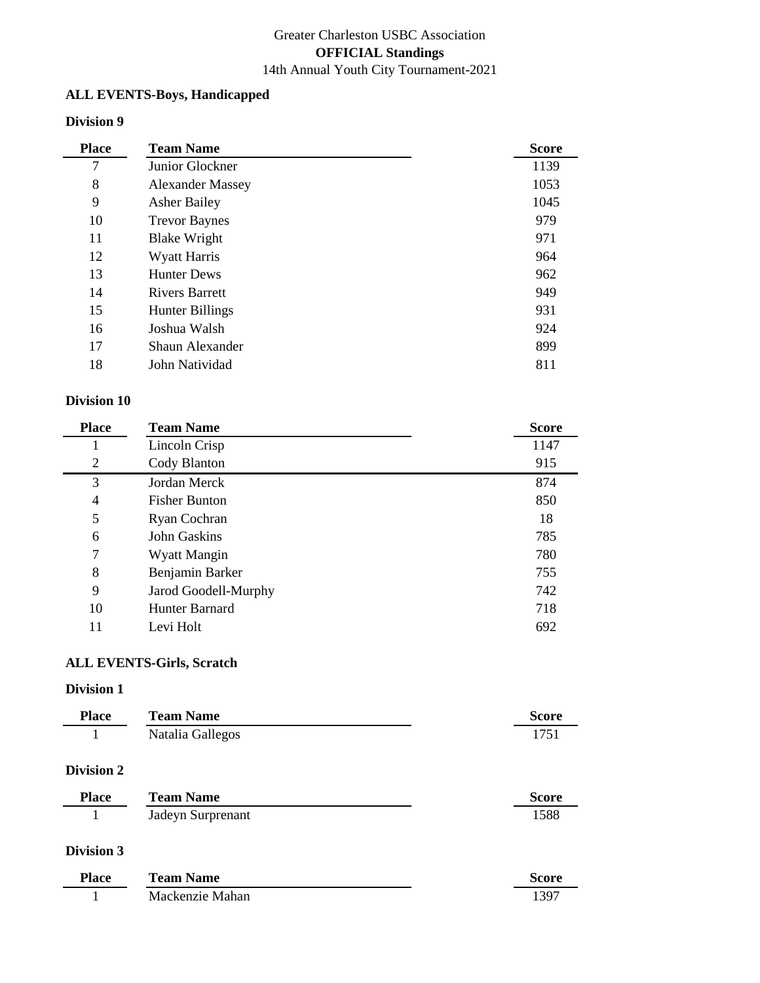### **ALL EVENTS-Boys, Handicapped**

#### **Division 9**

 $\sim$ 

| <b>Place</b> | <b>Team Name</b>        | <b>Score</b> |
|--------------|-------------------------|--------------|
| 7            | Junior Glockner         | 1139         |
| 8            | <b>Alexander Massey</b> | 1053         |
| 9            | <b>Asher Bailey</b>     | 1045         |
| 10           | <b>Trevor Baynes</b>    | 979          |
| 11           | <b>Blake Wright</b>     | 971          |
| 12           | <b>Wyatt Harris</b>     | 964          |
| 13           | <b>Hunter Dews</b>      | 962          |
| 14           | <b>Rivers Barrett</b>   | 949          |
| 15           | <b>Hunter Billings</b>  | 931          |
| 16           | Joshua Walsh            | 924          |
| 17           | Shaun Alexander         | 899          |
| 18           | John Natividad          | 811          |

#### **Division 10**

| <b>Place</b> | <b>Team Name</b>      | <b>Score</b> |
|--------------|-----------------------|--------------|
|              | Lincoln Crisp         | 1147         |
| 2            | Cody Blanton          | 915          |
| 3            | Jordan Merck          | 874          |
| 4            | <b>Fisher Bunton</b>  | 850          |
| 5            | Ryan Cochran          | 18           |
| 6            | John Gaskins          | 785          |
| 7            | Wyatt Mangin          | 780          |
| 8            | Benjamin Barker       | 755          |
| 9            | Jarod Goodell-Murphy  | 742          |
| 10           | <b>Hunter Barnard</b> | 718          |
| 11           | Levi Holt             | 692          |

# **ALL EVENTS-Girls, Scratch**

| <b>Place</b> | <b>Team Name</b>  | <b>Score</b> |
|--------------|-------------------|--------------|
| 1            | Natalia Gallegos  | 1751         |
| Division 2   |                   |              |
| <b>Place</b> | <b>Team Name</b>  | <b>Score</b> |
| 1            | Jadeyn Surprenant | 1588         |
| Division 3   |                   |              |
| <b>Place</b> | <b>Team Name</b>  | <b>Score</b> |
|              | Mackenzie Mahan   | 1397         |